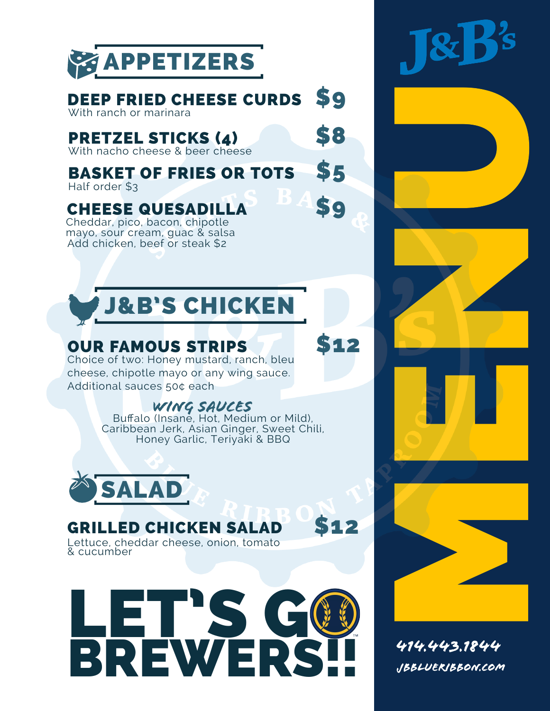

#### \$9 DEEP FRIED CHEESE CURDS

With ranch or marinara

## PRETZEL STICKS (4)

With nacho cheese & beer cheese

\$5 BASKET OF FRIES OR TOTS Half order \$3

\$9

\$8

## CHEESE QUESADILLA

Add chicken, beef or steak \$2 Cheddar, pico, bacon, chipotle mayo, sour cream, guac & salsa



# OUR FAMOUS STRIPS<br>Choice of two: Honey mustard, ranch, bleu

cheese, chipotle mayo or any wing sauce. Additional sauces 50¢ each

### WING SAUCES

Honey Garlic, Teriyaki & BBQ Bufalo (Insane, Hot, Medium or Mild), Caribbean Jerk, Asian Ginger, Sweet Chili,



### **GRILLED CHICKEN SALAD \$12**

Lettuce, cheddar cheese, onion, tomato & cucumber



R's